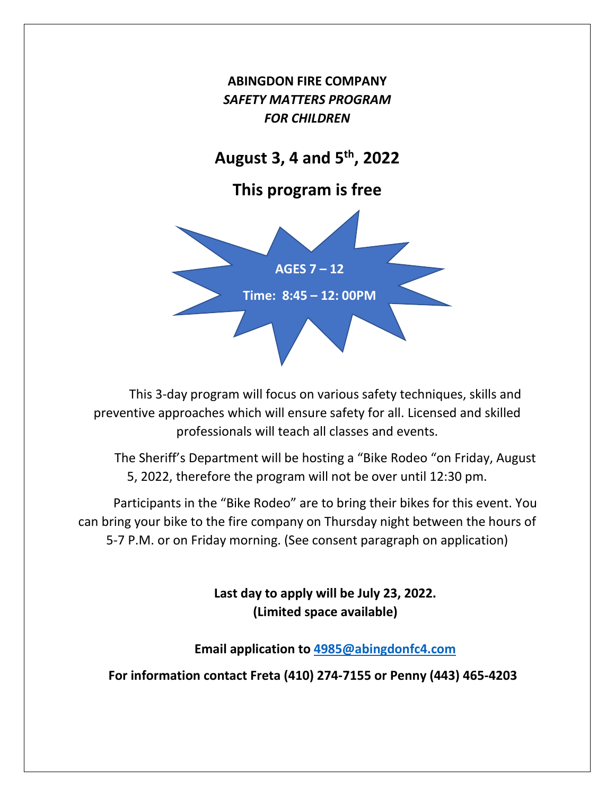

This 3-day program will focus on various safety techniques, skills and preventive approaches which will ensure safety for all. Licensed and skilled professionals will teach all classes and events.

The Sheriff's Department will be hosting a "Bike Rodeo "on Friday, August 5, 2022, therefore the program will not be over until 12:30 pm.

Participants in the "Bike Rodeo" are to bring their bikes for this event. You can bring your bike to the fire company on Thursday night between the hours of 5-7 P.M. or on Friday morning. (See consent paragraph on application)

> **Last day to apply will be July 23, 2022. (Limited space available)**

**Email application to [4985@abingdonfc4.com](mailto:4985@abingdonfc4.com)**

**For information contact Freta (410) 274-7155 or Penny (443) 465-4203**